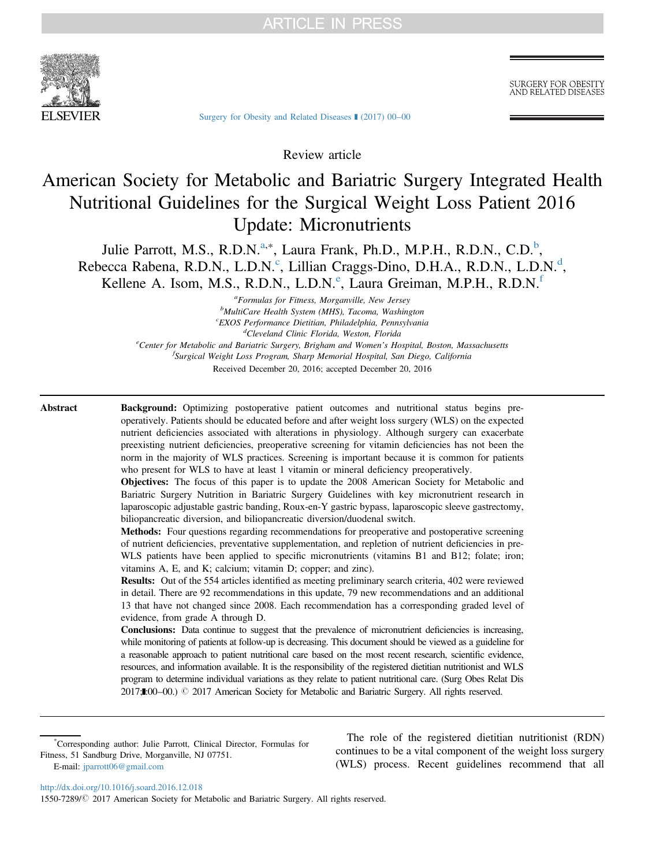

**SURGERY FOR OBESITY** AND RELATED DISEASES

[Surgery for Obesity and Related Diseases](http://dx.doi.org/10.1016/j.soard.2016.12.018) ■ (2017) 00-00

Review article

# American Society for Metabolic and Bariatric Surgery Integrated Health Nutritional Guidelines for the Surgical Weight Loss Patient 2016 Update: Micronutrients

Julie Parrott, M.S., R.D.N.<sup>a,\*</sup>, Laura Frank, Ph.D., M.P.H., R.D.N., C.D.<sup>b</sup>, Rebecca Rabena, R.D.N., L.D.N.<sup>c</sup>, Lillian Craggs-Dino, D.H.A., R.D.N., L.D.N.<sup>d</sup>, Kellene A. Isom, M.S., R.D.N., L.D.N.<sup>e</sup>, Laura Greiman, M.P.H., R.D.N.<sup>f</sup>

> <sup>a</sup>Formulas for Fitness, Morganville, New Jersey *<sup>a</sup>Formulas for Fitness, Morganville, New Jersey*<br> $h_{\text{MultiCarg}}$  Health System (MHS) Tacoma Washing  $^{b}$ MultiCare Health System (MHS), Tacoma, Washington<br><sup>C</sup>EXOS Performance Dictition, Philodelphia, Pennsylvani <sup>c</sup>EXOS Performance Dietitian, Philadelphia, Pennsylvania<br><sup>d</sup>Cleveland Clinic Florida, Weston, Florida <sup>a</sup>Cleveland Clinic Florida, Weston, Florida<br>Center for Metabolic and Bariatric Surgery, Brigham and Women's Hospital, Boston, Massachusetts<sup>e</sup> f Surgical Weight Loss Program, Sharp Memorial Hospital, San Diego, California Received December 20, 2016; accepted December 20, 2016

Abstract Background: Optimizing postoperative patient outcomes and nutritional status begins preoperatively. Patients should be educated before and after weight loss surgery (WLS) on the expected nutrient deficiencies associated with alterations in physiology. Although surgery can exacerbate preexisting nutrient deficiencies, preoperative screening for vitamin deficiencies has not been the norm in the majority of WLS practices. Screening is important because it is common for patients who present for WLS to have at least 1 vitamin or mineral deficiency preoperatively.

> Objectives: The focus of this paper is to update the 2008 American Society for Metabolic and Bariatric Surgery Nutrition in Bariatric Surgery Guidelines with key micronutrient research in laparoscopic adjustable gastric banding, Roux-en-Y gastric bypass, laparoscopic sleeve gastrectomy, biliopancreatic diversion, and biliopancreatic diversion/duodenal switch.

> Methods: Four questions regarding recommendations for preoperative and postoperative screening of nutrient deficiencies, preventative supplementation, and repletion of nutrient deficiencies in pre-WLS patients have been applied to specific micronutrients (vitamins B1 and B12; folate; iron; vitamins A, E, and K; calcium; vitamin D; copper; and zinc).

> Results: Out of the 554 articles identified as meeting preliminary search criteria, 402 were reviewed in detail. There are 92 recommendations in this update, 79 new recommendations and an additional 13 that have not changed since 2008. Each recommendation has a corresponding graded level of evidence, from grade A through D.

> Conclusions: Data continue to suggest that the prevalence of micronutrient deficiencies is increasing, while monitoring of patients at follow-up is decreasing. This document should be viewed as a guideline for a reasonable approach to patient nutritional care based on the most recent research, scientific evidence, resources, and information available. It is the responsibility of the registered dietitian nutritionist and WLS program to determine individual variations as they relate to patient nutritional care. (Surg Obes Relat Dis 2017;L00-00.) © 2017 American Society for Metabolic and Bariatric Surgery. All rights reserved.

\* Corresponding author: Julie Parrott, Clinical Director, Formulas for Fitness, 51 Sandburg Drive, Morganville, NJ 07751. E-mail: [jparrott06@gmail.com](mailto:jparrott06@gmail.com)

The role of the registered dietitian nutritionist (RDN) continues to be a vital component of the weight loss surgery (WLS) process. Recent guidelines recommend that all

<http://dx.doi.org/10.1016/j.soard.2016.12.018>

1550-7289/© 2017 American Society for Metabolic and Bariatric Surgery. All rights reserved.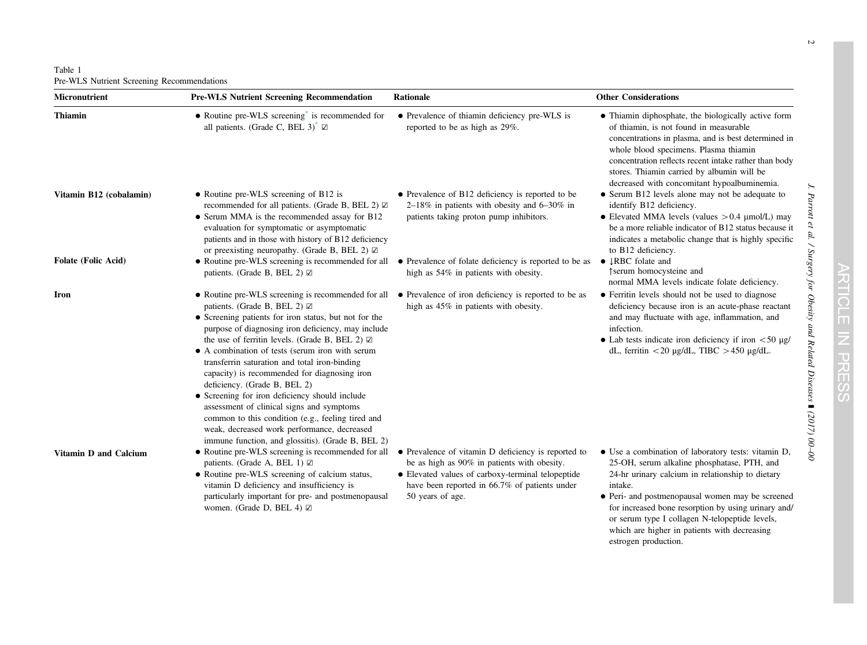<span id="page-1-0"></span>Table 1 Pre-WLS Nutrient Screening Recommendations

| Micronutrient              | <b>Pre-WLS Nutrient Screening Recommendation</b>                                                                                                                                                                                                                                                                                                                                                                                                                                                                                                                                                                                                              | Rationale                                                                                                                                                                                                                    | <b>Other Considerations</b>                                                                                                                                                                                                                                                                                                                                                    |  |
|----------------------------|---------------------------------------------------------------------------------------------------------------------------------------------------------------------------------------------------------------------------------------------------------------------------------------------------------------------------------------------------------------------------------------------------------------------------------------------------------------------------------------------------------------------------------------------------------------------------------------------------------------------------------------------------------------|------------------------------------------------------------------------------------------------------------------------------------------------------------------------------------------------------------------------------|--------------------------------------------------------------------------------------------------------------------------------------------------------------------------------------------------------------------------------------------------------------------------------------------------------------------------------------------------------------------------------|--|
| <b>Thiamin</b>             | • Routine pre-WLS screening is recommended for<br>all patients. (Grade C, BEL 3) <sup>*</sup> $\boxtimes$                                                                                                                                                                                                                                                                                                                                                                                                                                                                                                                                                     | • Prevalence of thiamin deficiency pre-WLS is<br>reported to be as high as 29%.                                                                                                                                              | • Thiamin diphosphate, the biologically active form<br>of thiamin, is not found in measurable<br>concentrations in plasma, and is best determined in<br>whole blood specimens. Plasma thiamin<br>concentration reflects recent intake rather than body<br>stores. Thiamin carried by albumin will be<br>decreased with concomitant hypoalbuminemia.                            |  |
| Vitamin B12 (cobalamin)    | • Routine pre-WLS screening of B12 is<br>recommended for all patients. (Grade B, BEL 2) $\boxtimes$<br>• Serum MMA is the recommended assay for B12<br>evaluation for symptomatic or asymptomatic<br>patients and in those with history of B12 deficiency<br>or preexisting neuropathy. (Grade B, BEL 2) $\boxtimes$                                                                                                                                                                                                                                                                                                                                          | • Prevalence of B12 deficiency is reported to be<br>$2-18\%$ in patients with obesity and 6-30% in<br>patients taking proton pump inhibitors.                                                                                | • Serum B12 levels alone may not be adequate to<br>identify B12 deficiency.<br>• Elevated MMA levels (values $> 0.4$ µmol/L) may<br>be a more reliable indicator of B12 status because it<br>indicates a metabolic change that is highly specific<br>to B12 deficiency.                                                                                                        |  |
| <b>Folate (Folic Acid)</b> | • Routine pre-WLS screening is recommended for all<br>patients. (Grade B, BEL 2) ☑                                                                                                                                                                                                                                                                                                                                                                                                                                                                                                                                                                            | • Prevalence of folate deficiency is reported to be as<br>high as 54% in patients with obesity.                                                                                                                              | • JRBC folate and<br>↑serum homocysteine and<br>normal MMA levels indicate folate deficiency.                                                                                                                                                                                                                                                                                  |  |
| Iron                       | patients. (Grade B, BEL 2) $\boxtimes$<br>• Screening patients for iron status, but not for the<br>purpose of diagnosing iron deficiency, may include<br>the use of ferritin levels. (Grade B, BEL 2) $\boxtimes$<br>• A combination of tests (serum iron with serum<br>transferrin saturation and total iron-binding<br>capacity) is recommended for diagnosing iron<br>deficiency. (Grade B, BEL 2)<br>• Screening for iron deficiency should include<br>assessment of clinical signs and symptoms<br>common to this condition (e.g., feeling tired and<br>weak, decreased work performance, decreased<br>immune function, and glossitis). (Grade B, BEL 2) | • Routine pre-WLS screening is recommended for all • Prevalence of iron deficiency is reported to be as<br>high as 45% in patients with obesity.                                                                             | • Ferritin levels should not be used to diagnose<br>deficiency because iron is an acute-phase reactant<br>and may fluctuate with age, inflammation, and<br>infection.<br>• Lab tests indicate iron deficiency if iron $\langle 50 \mu g /$<br>dL, ferritin <20 $\mu$ g/dL, TIBC >450 $\mu$ g/dL.                                                                               |  |
| Vitamin D and Calcium      | • Routine pre-WLS screening is recommended for all<br>patients. (Grade A, BEL 1) $\boxtimes$<br>• Routine pre-WLS screening of calcium status,<br>vitamin D deficiency and insufficiency is<br>particularly important for pre- and postmenopausal<br>women. (Grade D, BEL 4) $\boxtimes$                                                                                                                                                                                                                                                                                                                                                                      | • Prevalence of vitamin D deficiency is reported to<br>be as high as 90% in patients with obesity.<br>• Elevated values of carboxy-terminal telopeptide<br>have been reported in 66.7% of patients under<br>50 years of age. | • Use a combination of laboratory tests: vitamin D,<br>25-OH, serum alkaline phosphatase, PTH, and<br>24-hr urinary calcium in relationship to dietary<br>intake.<br>• Peri- and postmenopausal women may be screened<br>for increased bone resorption by using urinary and/<br>or serum type I collagen N-telopeptide levels,<br>which are higher in patients with decreasing |  |

J. Parrott et al. / Surgery for Obesity and Related Diseases

] (2017) 00

 $\beta$ 

estrogen production.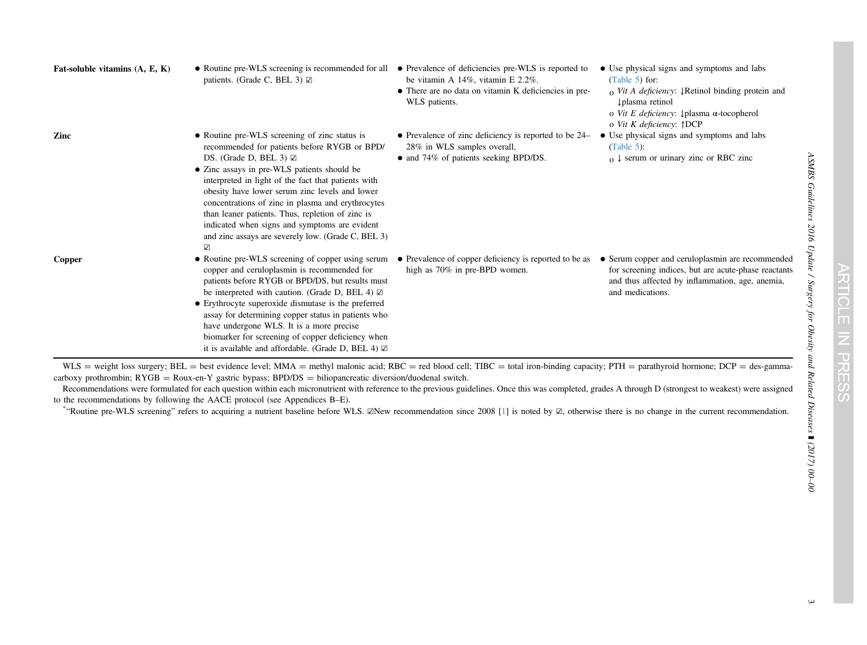<span id="page-2-0"></span>

| Fat-soluble vitamins $(A, E, K)$ | • Routine pre-WLS screening is recommended for all<br>patients. (Grade C, BEL 3) $\boxtimes$                                                                                                                                                                                                                                                                                                                                                                                                                   | • Prevalence of deficiencies pre-WLS is reported to<br>be vitamin A $14\%$ , vitamin E 2.2%.<br>• There are no data on vitamin K deficiencies in pre-<br>WLS patients. | • Use physical signs and symptoms and labs<br>(Table $5$ ) for:<br>$\alpha$ Vit A deficiency: <b>Propertially</b> binding protein and<br>plasma retinol<br>o Vit E deficiency: ↓ plasma α-tocopherol<br>o Vit K deficiency: $\uparrow$ DCP |
|----------------------------------|----------------------------------------------------------------------------------------------------------------------------------------------------------------------------------------------------------------------------------------------------------------------------------------------------------------------------------------------------------------------------------------------------------------------------------------------------------------------------------------------------------------|------------------------------------------------------------------------------------------------------------------------------------------------------------------------|--------------------------------------------------------------------------------------------------------------------------------------------------------------------------------------------------------------------------------------------|
| Zinc                             | • Routine pre-WLS screening of zinc status is<br>recommended for patients before RYGB or BPD/<br>DS. (Grade D, BEL 3) $\boxtimes$<br>• Zinc assays in pre-WLS patients should be<br>interpreted in light of the fact that patients with<br>obesity have lower serum zinc levels and lower<br>concentrations of zinc in plasma and erythrocytes<br>than leaner patients. Thus, repletion of zinc is<br>indicated when signs and symptoms are evident<br>and zinc assays are severely low. (Grade C, BEL 3)<br>☑ | • Prevalence of zinc deficiency is reported to be 24–<br>28% in WLS samples overall,<br>• and 74% of patients seeking BPD/DS.                                          | • Use physical signs and symptoms and labs<br>$(Table 5)$ :<br>$_0 \downarrow$ serum or urinary zinc or RBC zinc                                                                                                                           |
| Copper                           | • Routine pre-WLS screening of copper using serum<br>copper and ceruloplasmin is recommended for<br>patients before RYGB or BPD/DS, but results must<br>be interpreted with caution. (Grade D, BEL 4) $\boxtimes$<br>• Erythrocyte superoxide dismutase is the preferred<br>assay for determining copper status in patients who<br>have undergone WLS. It is a more precise<br>biomarker for screening of copper deficiency when<br>it is available and affordable. (Grade D, BEL 4) $\boxtimes$               | • Prevalence of copper deficiency is reported to be as<br>high as 70% in pre-BPD women.                                                                                | • Serum copper and ceruloplasmin are recommended<br>for screening indices, but are acute-phase reactants<br>and thus affected by inflammation, age, anemia,<br>and medications.                                                            |

WLS = weight loss surgery; BEL = best evidence level; MMA = methyl malonic acid; RBC = red blood cell; TIBC = total iron-binding capacity; PTH = parathyroid hormone; DCP = des-gammacarboxy prothrombin;  $RYGB = Roux-en-Y$  gastric bypass;  $BPD/DS = biliopancreatic diversion/duodenal switch$ .

Recommendations were formulated for each question within each micronutrient with reference to the previous guidelines. Once this was completed, grades A through D (strongest to weakest) were assigned to the recommendations by following the AACE protocol (see Appendices B–E).

\*"Routine pre-WLS screening" refers to acquiring <sup>a</sup> nutrient baseline before WLS. ☑New recommendation since <sup>2008</sup> [[1\]](#page-13-0) is noted by ☑, otherwise there is no change in the current recommendation.

] (2017) 00 –00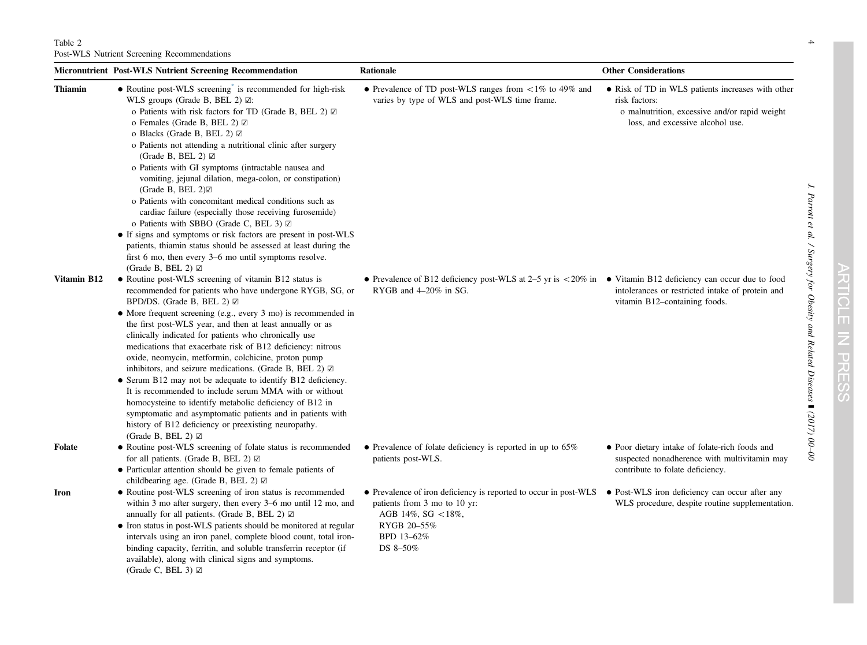<span id="page-3-0"></span>

|                | <b>Micronutrient Post-WLS Nutrient Screening Recommendation</b>                                                                                                                                                                                                                                                                                                                                                                                                                                                                                                                                                                                                                                                                                                                                                                                                                                                                       | <b>Rationale</b>                                                                                                                                                                                                 | <b>Other Considerations</b>                                                                                                                             |
|----------------|---------------------------------------------------------------------------------------------------------------------------------------------------------------------------------------------------------------------------------------------------------------------------------------------------------------------------------------------------------------------------------------------------------------------------------------------------------------------------------------------------------------------------------------------------------------------------------------------------------------------------------------------------------------------------------------------------------------------------------------------------------------------------------------------------------------------------------------------------------------------------------------------------------------------------------------|------------------------------------------------------------------------------------------------------------------------------------------------------------------------------------------------------------------|---------------------------------------------------------------------------------------------------------------------------------------------------------|
| <b>Thiamin</b> | • Routine post-WLS screening <sup>*</sup> is recommended for high-risk<br>WLS groups (Grade B, BEL 2) $\boxtimes$ :<br>o Patients with risk factors for TD (Grade B, BEL 2) $\boxtimes$<br>o Females (Grade B, BEL 2) $\boxtimes$<br>o Blacks (Grade B, BEL 2) $\boxtimes$<br>o Patients not attending a nutritional clinic after surgery<br>(Grade B, BEL 2) $\boxtimes$<br>o Patients with GI symptoms (intractable nausea and<br>vomiting, jejunal dilation, mega-colon, or constipation)<br>(Grade B, BEL $2 \times 2$ )<br>o Patients with concomitant medical conditions such as<br>cardiac failure (especially those receiving furosemide)<br>o Patients with SBBO (Grade C, BEL 3) $\boxtimes$<br>• If signs and symptoms or risk factors are present in post-WLS<br>patients, thiamin status should be assessed at least during the<br>first 6 mo, then every 3–6 mo until symptoms resolve.<br>(Grade B, BEL 2) $\boxtimes$ | • Prevalence of TD post-WLS ranges from $\langle 1\% \rangle$ to 49% and<br>varies by type of WLS and post-WLS time frame.                                                                                       | • Risk of TD in WLS patients increases with other<br>risk factors:<br>o malnutrition, excessive and/or rapid weight<br>loss, and excessive alcohol use. |
| Vitamin B12    | • Routine post-WLS screening of vitamin B12 status is<br>recommended for patients who have undergone RYGB, SG, or<br>BPD/DS. (Grade B, BEL 2) $\boxtimes$<br>• More frequent screening (e.g., every 3 mo) is recommended in<br>the first post-WLS year, and then at least annually or as<br>clinically indicated for patients who chronically use<br>medications that exacerbate risk of B12 deficiency: nitrous<br>oxide, neomycin, metformin, colchicine, proton pump<br>inhibitors, and seizure medications. (Grade B, BEL 2) $\boxtimes$<br>• Serum B12 may not be adequate to identify B12 deficiency.<br>It is recommended to include serum MMA with or without<br>homocysteine to identify metabolic deficiency of B12 in<br>symptomatic and asymptomatic patients and in patients with<br>history of B12 deficiency or preexisting neuropathy.<br>(Grade B, BEL 2) $\boxtimes$                                                | • Prevalence of B12 deficiency post-WLS at 2–5 yr is $\langle 20\% \rangle$ in • Vitamin B12 deficiency can occur due to food<br>RYGB and 4–20% in SG.                                                           | intolerances or restricted intake of protein and<br>vitamin B12-containing foods.                                                                       |
| Folate         | • Routine post-WLS screening of folate status is recommended<br>for all patients. (Grade B, BEL 2) $\boxtimes$<br>• Particular attention should be given to female patients of<br>childbearing age. (Grade B, BEL 2) $\boxtimes$                                                                                                                                                                                                                                                                                                                                                                                                                                                                                                                                                                                                                                                                                                      | • Prevalence of folate deficiency is reported in up to $65\%$<br>patients post-WLS.                                                                                                                              | • Poor dietary intake of folate-rich foods and<br>suspected nonadherence with multivitamin may<br>contribute to folate deficiency.                      |
| Iron           | • Routine post-WLS screening of iron status is recommended<br>within 3 mo after surgery, then every 3–6 mo until 12 mo, and<br>annually for all patients. (Grade B, BEL 2) $\boxtimes$<br>• Iron status in post-WLS patients should be monitored at regular<br>intervals using an iron panel, complete blood count, total iron-<br>binding capacity, ferritin, and soluble transferrin receptor (if<br>available), along with clinical signs and symptoms.<br>(Grade C, BEL 3) $\boxtimes$                                                                                                                                                                                                                                                                                                                                                                                                                                            | • Prevalence of iron deficiency is reported to occur in post-WLS • Post-WLS iron deficiency can occur after any<br>patients from 3 mo to 10 yr:<br>AGB 14%, SG $<$ 18%,<br>RYGB 20-55%<br>BPD 13-62%<br>DS 8-50% | WLS procedure, despite routine supplementation.                                                                                                         |

J. Parrott et al. / Surgery for Obesity and Related Diseases

 $\rightarrow$ 

] (2017) 00

 $\beta$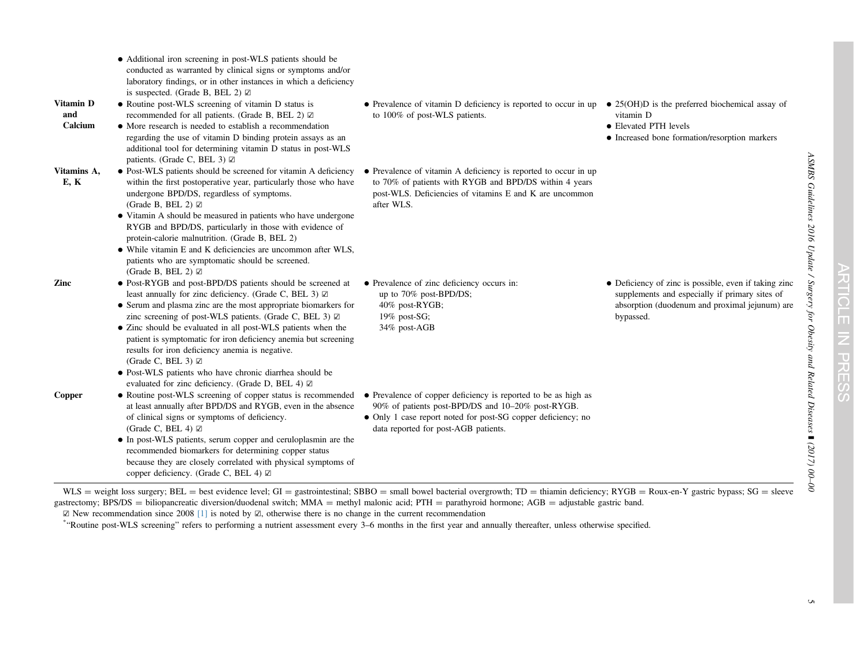<span id="page-4-0"></span>

|                             | • Additional iron screening in post-WLS patients should be<br>conducted as warranted by clinical signs or symptoms and/or<br>laboratory findings, or in other instances in which a deficiency<br>is suspected. (Grade B, BEL 2) $\boxtimes$                                                                                                                                                                                                                                                                                                                                                                            |                                                                                                                                                                                                                             |                                                                                                                                                                        |
|-----------------------------|------------------------------------------------------------------------------------------------------------------------------------------------------------------------------------------------------------------------------------------------------------------------------------------------------------------------------------------------------------------------------------------------------------------------------------------------------------------------------------------------------------------------------------------------------------------------------------------------------------------------|-----------------------------------------------------------------------------------------------------------------------------------------------------------------------------------------------------------------------------|------------------------------------------------------------------------------------------------------------------------------------------------------------------------|
| Vitamin D<br>and<br>Calcium | • Routine post-WLS screening of vitamin D status is<br>recommended for all patients. (Grade B, BEL 2) ☑<br>• More research is needed to establish a recommendation<br>regarding the use of vitamin D binding protein assays as an<br>additional tool for determining vitamin D status in post-WLS                                                                                                                                                                                                                                                                                                                      | • Prevalence of vitamin D deficiency is reported to occur in up $\bullet$ 25(OH)D is the preferred biochemical assay of<br>to 100% of post-WLS patients.                                                                    | vitamin D<br>• Elevated PTH levels<br>• Increased bone formation/resorption markers                                                                                    |
| Vitamins A,<br>E, K         | patients. (Grade C, BEL 3) $\boxtimes$<br>• Post-WLS patients should be screened for vitamin A deficiency<br>within the first postoperative year, particularly those who have<br>undergone BPD/DS, regardless of symptoms.<br>(Grade B, BEL 2) $\boxtimes$<br>• Vitamin A should be measured in patients who have undergone<br>RYGB and BPD/DS, particularly in those with evidence of<br>protein-calorie malnutrition. (Grade B, BEL 2)<br>• While vitamin E and K deficiencies are uncommon after WLS,<br>patients who are symptomatic should be screened.<br>(Grade B, BEL 2) $\boxtimes$                           | • Prevalence of vitamin A deficiency is reported to occur in up<br>to 70% of patients with RYGB and BPD/DS within 4 years<br>post-WLS. Deficiencies of vitamins E and K are uncommon<br>after WLS.                          |                                                                                                                                                                        |
| Zinc                        | • Post-RYGB and post-BPD/DS patients should be screened at<br>least annually for zinc deficiency. (Grade C, BEL 3) $\boxtimes$<br>• Serum and plasma zinc are the most appropriate biomarkers for<br>zinc screening of post-WLS patients. (Grade C, BEL 3) $\boxtimes$<br>• Zinc should be evaluated in all post-WLS patients when the<br>patient is symptomatic for iron deficiency anemia but screening<br>results for iron deficiency anemia is negative.<br>(Grade C, BEL 3) $\boxtimes$<br>· Post-WLS patients who have chronic diarrhea should be<br>evaluated for zinc deficiency. (Grade D, BEL 4) $\boxtimes$ | • Prevalence of zinc deficiency occurs in:<br>up to 70% post-BPD/DS;<br>40% post-RYGB;<br>19% post-SG;<br>34% post-AGB                                                                                                      | • Deficiency of zinc is possible, even if taking zinc<br>supplements and especially if primary sites of<br>absorption (duodenum and proximal jejunum) are<br>bypassed. |
| Copper                      | • Routine post-WLS screening of copper status is recommended<br>at least annually after BPD/DS and RYGB, even in the absence<br>of clinical signs or symptoms of deficiency.<br>(Grade C, BEL 4) $\boxtimes$<br>• In post-WLS patients, serum copper and ceruloplasmin are the<br>recommended biomarkers for determining copper status<br>because they are closely correlated with physical symptoms of<br>copper deficiency. (Grade C, BEL 4) $\boxtimes$                                                                                                                                                             | • Prevalence of copper deficiency is reported to be as high as<br>90% of patients post-BPD/DS and 10-20% post-RYGB.<br>• Only 1 case report noted for post-SG copper deficiency; no<br>data reported for post-AGB patients. |                                                                                                                                                                        |

 $WLS =$  weight loss surgery; BEL = best evidence level; GI = gastrointestinal; SBBO = small bowel bacterial overgrowth; TD = thiamin deficiency; RYGB = Roux-en-Y gastric bypass; SG = sleeve gastrectomy; BPS/DS = biliopancreatic diversion/duodenal switch; MMA = methyl malonic acid; PTH = parathyroid hormone; AGB = adjustable gastric band.

☑ New recommendation since 2008 [\[1\]](#page-13-0) is noted by ☑, otherwise there is no change in the current recommendation

\*"Routine post-WLS screening" refers to performing <sup>a</sup> nutrient assessment every <sup>3</sup>–<sup>6</sup> months in the first year and annually thereafter, unless otherwise specified.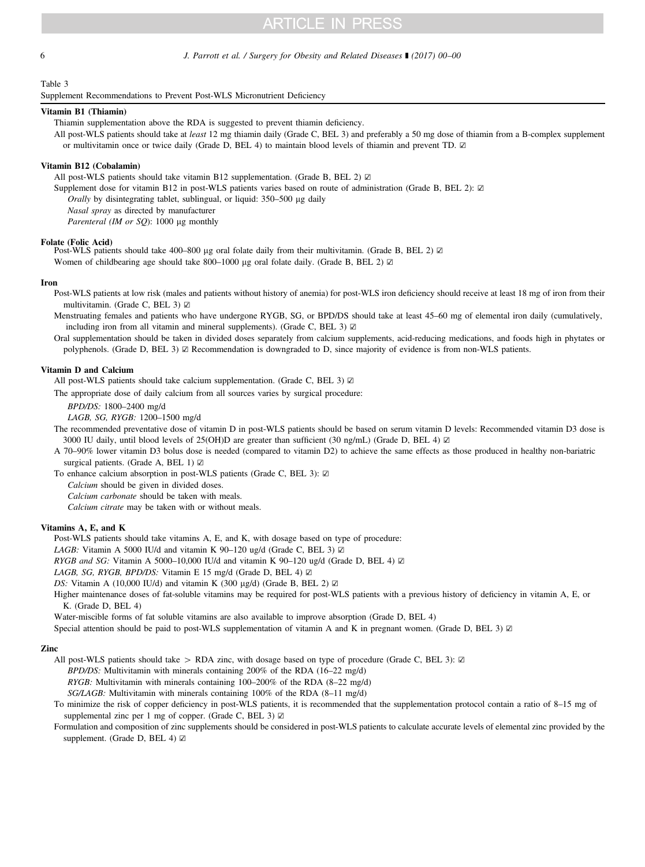### <span id="page-5-0"></span>6 5 J. Parrott et al. / Surgery for Obesity and Related Diseases ■ (2017) 00–00

### Table 3

Supplement Recommendations to Prevent Post-WLS Micronutrient Deficiency

### Vitamin B1 (Thiamin)

Thiamin supplementation above the RDA is suggested to prevent thiamin deficiency.

All post-WLS patients should take at least 12 mg thiamin daily (Grade C, BEL 3) and preferably a 50 mg dose of thiamin from a B-complex supplement or multivitamin once or twice daily (Grade D, BEL 4) to maintain blood levels of thiamin and prevent TD. ☑

### Vitamin B12 (Cobalamin)

All post-WLS patients should take vitamin B12 supplementation. (Grade B, BEL 2)  $\boxtimes$ 

Supplement dose for vitamin B12 in post-WLS patients varies based on route of administration (Grade B, BEL 2): ☑

Orally by disintegrating tablet, sublingual, or liquid:  $350-500 \mu$ g daily

Nasal spray as directed by manufacturer

Parenteral (IM or SQ): 1000 µg monthly

### Folate (Folic Acid)

Post-WLS patients should take 400–800 µg oral folate daily from their multivitamin. (Grade B, BEL 2) ☑ Women of childbearing age should take 800–1000 µg oral folate daily. (Grade B, BEL 2)  $\boxtimes$ 

#### Iron

Post-WLS patients at low risk (males and patients without history of anemia) for post-WLS iron deficiency should receive at least 18 mg of iron from their multivitamin. (Grade C, BEL 3) ☑

Menstruating females and patients who have undergone RYGB, SG, or BPD/DS should take at least 45–60 mg of elemental iron daily (cumulatively, including iron from all vitamin and mineral supplements). (Grade C, BEL 3) ☑

Oral supplementation should be taken in divided doses separately from calcium supplements, acid-reducing medications, and foods high in phytates or polyphenols. (Grade D, BEL 3) ☑ Recommendation is downgraded to D, since majority of evidence is from non-WLS patients.

### Vitamin D and Calcium

All post-WLS patients should take calcium supplementation. (Grade C, BEL 3) Ø

The appropriate dose of daily calcium from all sources varies by surgical procedure:

BPD/DS: 1800–2400 mg/d

LAGB, SG, RYGB: 1200–1500 mg/d

The recommended preventative dose of vitamin D in post-WLS patients should be based on serum vitamin D levels: Recommended vitamin D3 dose is 3000 IU daily, until blood levels of 25(OH)D are greater than sufficient (30 ng/mL) (Grade D, BEL 4) ☑

A 70–90% lower vitamin D3 bolus dose is needed (compared to vitamin D2) to achieve the same effects as those produced in healthy non-bariatric surgical patients. (Grade A, BEL 1) ☑

To enhance calcium absorption in post-WLS patients (Grade C, BEL 3): ☑

Calcium should be given in divided doses.

Calcium carbonate should be taken with meals.

Calcium citrate may be taken with or without meals.

### Vitamins A, E, and K

Post-WLS patients should take vitamins A, E, and K, with dosage based on type of procedure:

LAGB: Vitamin A 5000 IU/d and vitamin K 90–120 ug/d (Grade C, BEL 3)  $\boxtimes$ 

RYGB and SG: Vitamin A 5000–10,000 IU/d and vitamin K 90–120 ug/d (Grade D, BEL 4)  $\boxtimes$ 

LAGB, SG, RYGB, BPD/DS: Vitamin E 15 mg/d (Grade D, BEL 4) ☑

DS: Vitamin A (10,000 IU/d) and vitamin K (300  $\mu$ g/d) (Grade B, BEL 2)  $\boxtimes$ 

Higher maintenance doses of fat-soluble vitamins may be required for post-WLS patients with a previous history of deficiency in vitamin A, E, or K. (Grade D, BEL 4)

Water-miscible forms of fat soluble vitamins are also available to improve absorption (Grade D, BEL 4)

Special attention should be paid to post-WLS supplementation of vitamin A and K in pregnant women. (Grade D, BEL 3) ⊠

### Zinc

All post-WLS patients should take > RDA zinc, with dosage based on type of procedure (Grade C, BEL 3): ☑

BPD/DS: Multivitamin with minerals containing 200% of the RDA (16–22 mg/d)

RYGB: Multivitamin with minerals containing 100–200% of the RDA (8–22 mg/d)

 $SG/LAGB$ : Multivitamin with minerals containing 100% of the RDA (8–11 mg/d)

To minimize the risk of copper deficiency in post-WLS patients, it is recommended that the supplementation protocol contain a ratio of 8–15 mg of supplemental zinc per 1 mg of copper. (Grade C, BEL 3) ☑

Formulation and composition of zinc supplements should be considered in post-WLS patients to calculate accurate levels of elemental zinc provided by the supplement. (Grade D, BEL 4)  $□$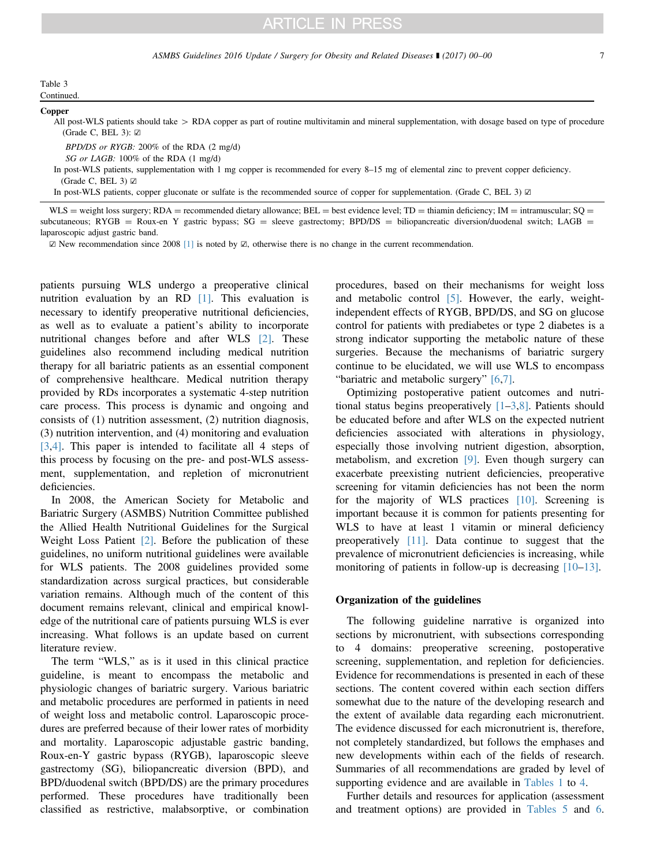### Table 3 Continued.

### Copper

All post-WLS patients should take  $>$  RDA copper as part of routine multivitamin and mineral supplementation, with dosage based on type of procedure (Grade C, BEL 3): ☑

BPD/DS or RYGB: 200% of the RDA (2 mg/d)

SG or LAGB: 100% of the RDA (1 mg/d)

In post-WLS patients, supplementation with 1 mg copper is recommended for every 8–15 mg of elemental zinc to prevent copper deficiency. (Grade C, BEL 3) ☑

In post-WLS patients, copper gluconate or sulfate is the recommended source of copper for supplementation. (Grade C, BEL 3) ☑

WLS = weight loss surgery; RDA = recommended dietary allowance; BEL = best evidence level; TD = thiamin deficiency; IM = intramuscular; SQ = subcutaneous; RYGB = Roux-en Y gastric bypass; SG = sleeve gastrectomy; BPD/DS = biliopancreatic diversion/duodenal switch; LAGB = laparoscopic adjust gastric band.

☑ New recommendation since 2008 [\[1\]](#page-13-0) is noted by ☑, otherwise there is no change in the current recommendation.

patients pursuing WLS undergo a preoperative clinical nutrition evaluation by an RD [\[1\].](#page-13-0) This evaluation is necessary to identify preoperative nutritional deficiencies, as well as to evaluate a patient's ability to incorporate nutritional changes before and after WLS [\[2\].](#page-14-0) These guidelines also recommend including medical nutrition therapy for all bariatric patients as an essential component of comprehensive healthcare. Medical nutrition therapy provided by RDs incorporates a systematic 4-step nutrition care process. This process is dynamic and ongoing and consists of (1) nutrition assessment, (2) nutrition diagnosis, (3) nutrition intervention, and (4) monitoring and evaluation [\[3](#page-14-0),[4\].](#page-14-0) This paper is intended to facilitate all 4 steps of this process by focusing on the pre- and post-WLS assessment, supplementation, and repletion of micronutrient deficiencies.

In 2008, the American Society for Metabolic and Bariatric Surgery (ASMBS) Nutrition Committee published the Allied Health Nutritional Guidelines for the Surgical Weight Loss Patient [\[2\]](#page-14-0). Before the publication of these guidelines, no uniform nutritional guidelines were available for WLS patients. The 2008 guidelines provided some standardization across surgical practices, but considerable variation remains. Although much of the content of this document remains relevant, clinical and empirical knowledge of the nutritional care of patients pursuing WLS is ever increasing. What follows is an update based on current literature review.

The term "WLS," as is it used in this clinical practice guideline, is meant to encompass the metabolic and physiologic changes of bariatric surgery. Various bariatric and metabolic procedures are performed in patients in need of weight loss and metabolic control. Laparoscopic procedures are preferred because of their lower rates of morbidity and mortality. Laparoscopic adjustable gastric banding, Roux-en-Y gastric bypass (RYGB), laparoscopic sleeve gastrectomy (SG), biliopancreatic diversion (BPD), and BPD/duodenal switch (BPD/DS) are the primary procedures performed. These procedures have traditionally been classified as restrictive, malabsorptive, or combination procedures, based on their mechanisms for weight loss and metabolic control [\[5\].](#page-14-0) However, the early, weightindependent effects of RYGB, BPD/DS, and SG on glucose control for patients with prediabetes or type 2 diabetes is a strong indicator supporting the metabolic nature of these surgeries. Because the mechanisms of bariatric surgery continue to be elucidated, we will use WLS to encompass "bariatric and metabolic surgery" [\[6,7\].](#page-14-0)

Optimizing postoperative patient outcomes and nutritional status begins preoperatively  $[1-3,8]$  $[1-3,8]$  $[1-3,8]$  $[1-3,8]$  $[1-3,8]$ . Patients should be educated before and after WLS on the expected nutrient deficiencies associated with alterations in physiology, especially those involving nutrient digestion, absorption, metabolism, and excretion [\[9\]](#page-14-0). Even though surgery can exacerbate preexisting nutrient deficiencies, preoperative screening for vitamin deficiencies has not been the norm for the majority of WLS practices [\[10\].](#page-14-0) Screening is important because it is common for patients presenting for WLS to have at least 1 vitamin or mineral deficiency preoperatively [\[11\]](#page-14-0). Data continue to suggest that the prevalence of micronutrient deficiencies is increasing, while monitoring of patients in follow-up is decreasing [\[10](#page-14-0)–[13\].](#page-14-0)

### Organization of the guidelines

The following guideline narrative is organized into sections by micronutrient, with subsections corresponding to 4 domains: preoperative screening, postoperative screening, supplementation, and repletion for deficiencies. Evidence for recommendations is presented in each of these sections. The content covered within each section differs somewhat due to the nature of the developing research and the extent of available data regarding each micronutrient. The evidence discussed for each micronutrient is, therefore, not completely standardized, but follows the emphases and new developments within each of the fields of research. Summaries of all recommendations are graded by level of supporting evidence and are available in [Tables 1](#page-1-0) to [4](#page-3-0).

Further details and resources for application (assessment and treatment options) are provided in [Tables 5](#page-9-0) and [6.](#page-12-0)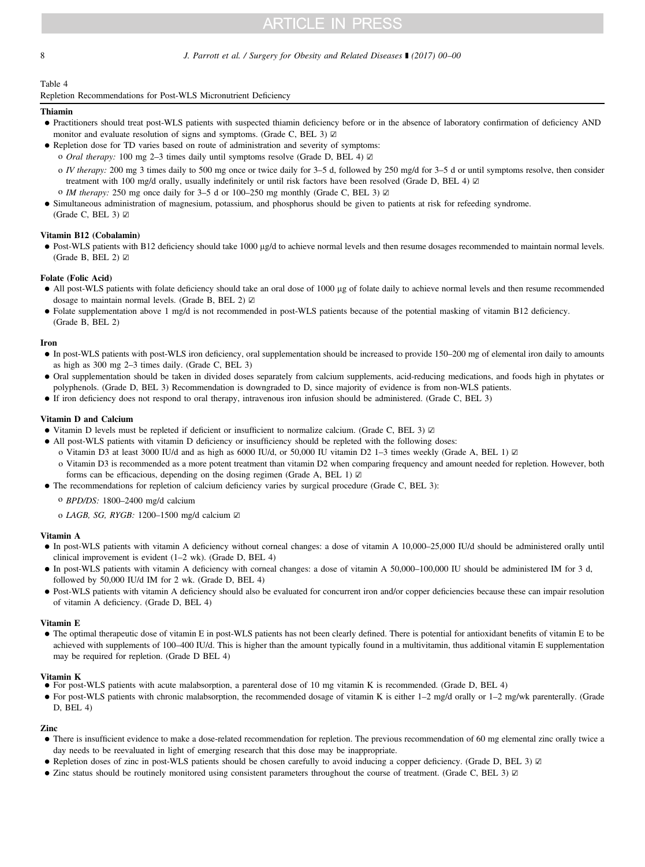### <span id="page-7-0"></span>8 3 J. Parrott et al. / Surgery for Obesity and Related Diseases 1 (2017) 00-00

### Table 4

Repletion Recommendations for Post-WLS Micronutrient Deficiency

### Thiamin

- Practitioners should treat post-WLS patients with suspected thiamin deficiency before or in the absence of laboratory confirmation of deficiency AND monitor and evaluate resolution of signs and symptoms. (Grade C, BEL 3)  $\boxtimes$
- Repletion dose for TD varies based on route of administration and severity of symptoms:
	- o Oral therapy: 100 mg 2–3 times daily until symptoms resolve (Grade D, BEL 4) ☑
	- o IV therapy: 200 mg 3 times daily to 500 mg once or twice daily for 3–5 d, followed by 250 mg/d for 3–5 d or until symptoms resolve, then consider treatment with 100 mg/d orally, usually indefinitely or until risk factors have been resolved (Grade D, BEL 4) ☑
	- o IM therapy: 250 mg once daily for 3–5 d or 100–250 mg monthly (Grade C, BEL 3)  $\boxtimes$
- Simultaneous administration of magnesium, potassium, and phosphorus should be given to patients at risk for refeeding syndrome. (Grade C, BEL 3)  $\boxtimes$

### Vitamin B12 (Cobalamin)

• Post-WLS patients with B12 deficiency should take 1000 µg/d to achieve normal levels and then resume dosages recommended to maintain normal levels. (Grade B, BEL 2) ☑

### Folate (Folic Acid)

- All post-WLS patients with folate deficiency should take an oral dose of 1000 µg of folate daily to achieve normal levels and then resume recommended dosage to maintain normal levels. (Grade B, BEL 2) ☑
- Folate supplementation above 1 mg/d is not recommended in post-WLS patients because of the potential masking of vitamin B12 deficiency. (Grade B, BEL 2)

#### Iron

- In post-WLS patients with post-WLS iron deficiency, oral supplementation should be increased to provide 150–200 mg of elemental iron daily to amounts as high as 300 mg 2–3 times daily. (Grade C, BEL 3)
- Oral supplementation should be taken in divided doses separately from calcium supplements, acid-reducing medications, and foods high in phytates or polyphenols. (Grade D, BEL 3) Recommendation is downgraded to D, since majority of evidence is from non-WLS patients.
- If iron deficiency does not respond to oral therapy, intravenous iron infusion should be administered. (Grade C, BEL 3)

### Vitamin D and Calcium

- Vitamin D levels must be repleted if deficient or insufficient to normalize calcium. (Grade C, BEL 3) ☑
- All post-WLS patients with vitamin D deficiency or insufficiency should be repleted with the following doses:
	- o Vitamin D3 at least 3000 IU/d and as high as 6000 IU/d, or 50,000 IU vitamin D2 1–3 times weekly (Grade A, BEL 1) ☑
	- o Vitamin D3 is recommended as a more potent treatment than vitamin D2 when comparing frequency and amount needed for repletion. However, both forms can be efficacious, depending on the dosing regimen (Grade A, BEL 1) ☑
- The recommendations for repletion of calcium deficiency varies by surgical procedure (Grade C, BEL 3):
	- o BPD/DS: 1800–2400 mg/d calcium
	- o LAGB, SG, RYGB: 1200–1500 mg/d calcium ☑

### Vitamin A

- In post-WLS patients with vitamin A deficiency without corneal changes: a dose of vitamin A 10,000–25,000 IU/d should be administered orally until clinical improvement is evident (1–2 wk). (Grade D, BEL 4)
- In post-WLS patients with vitamin A deficiency with corneal changes: a dose of vitamin A 50,000–100,000 IU should be administered IM for 3 d, followed by 50,000 IU/d IM for 2 wk. (Grade D, BEL 4)
- Post-WLS patients with vitamin A deficiency should also be evaluated for concurrent iron and/or copper deficiencies because these can impair resolution of vitamin A deficiency. (Grade D, BEL 4)

### Vitamin E

 The optimal therapeutic dose of vitamin E in post-WLS patients has not been clearly defined. There is potential for antioxidant benefits of vitamin E to be achieved with supplements of 100–400 IU/d. This is higher than the amount typically found in a multivitamin, thus additional vitamin E supplementation may be required for repletion. (Grade D BEL 4)

### Vitamin K

- For post-WLS patients with acute malabsorption, a parenteral dose of 10 mg vitamin K is recommended. (Grade D, BEL 4)
- For post-WLS patients with chronic malabsorption, the recommended dosage of vitamin K is either 1–2 mg/d orally or 1–2 mg/wk parenterally. (Grade D, BEL 4)

### Zinc

- There is insufficient evidence to make a dose-related recommendation for repletion. The previous recommendation of 60 mg elemental zinc orally twice a day needs to be reevaluated in light of emerging research that this dose may be inappropriate.
- Repletion doses of zinc in post-WLS patients should be chosen carefully to avoid inducing a copper deficiency. (Grade D, BEL 3) ☑
- Zinc status should be routinely monitored using consistent parameters throughout the course of treatment. (Grade C, BEL 3) ☑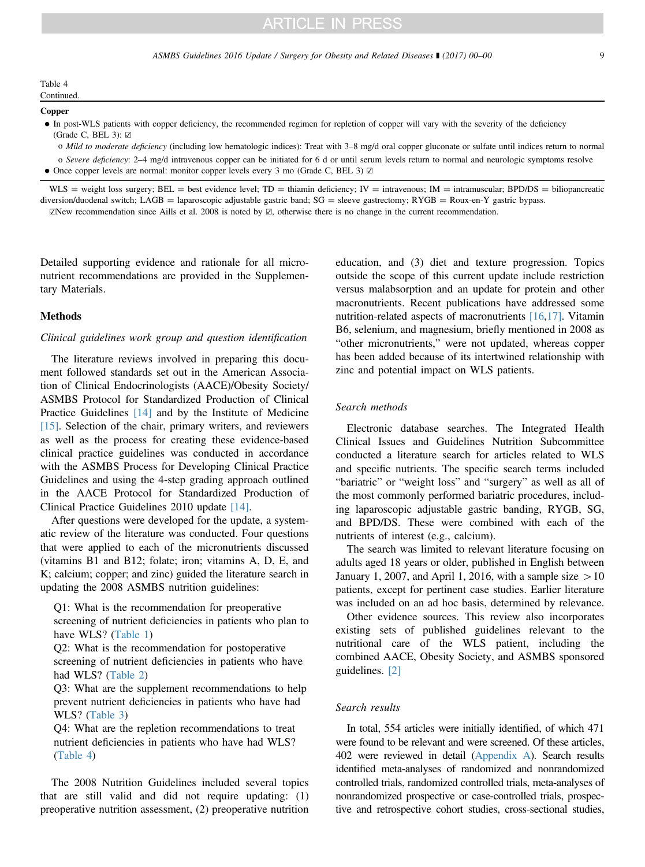### Copper

 In post-WLS patients with copper deficiency, the recommended regimen for repletion of copper will vary with the severity of the deficiency (Grade C, BEL 3):  $\boxtimes$ 

o Mild to moderate deficiency (including low hematologic indices): Treat with 3–8 mg/d oral copper gluconate or sulfate until indices return to normal

- o Severe deficiency: 2-4 mg/d intravenous copper can be initiated for 6 d or until serum levels return to normal and neurologic symptoms resolve
- Once copper levels are normal: monitor copper levels every 3 mo (Grade C, BEL 3) ☑

 $WLS =$  weight loss surgery; BEL = best evidence level; TD = thiamin deficiency; IV = intravenous; IM = intramuscular; BPD/DS = biliopancreatic diversion/duodenal switch; LAGB = laparoscopic adjustable gastric band;  $SG$  = sleeve gastrectomy; RYGB = Roux-en-Y gastric bypass. ☑New recommendation since Aills et al. 2008 is noted by ☑, otherwise there is no change in the current recommendation.

Detailed supporting evidence and rationale for all micronutrient recommendations are provided in the Supplementary Materials.

### Methods

### Clinical guidelines work group and question identification

The literature reviews involved in preparing this document followed standards set out in the American Association of Clinical Endocrinologists (AACE)/Obesity Society/ ASMBS Protocol for Standardized Production of Clinical Practice Guidelines [\[14\]](#page-14-0) and by the Institute of Medicine [\[15\]](#page-14-0). Selection of the chair, primary writers, and reviewers as well as the process for creating these evidence-based clinical practice guidelines was conducted in accordance with the ASMBS Process for Developing Clinical Practice Guidelines and using the 4-step grading approach outlined in the AACE Protocol for Standardized Production of Clinical Practice Guidelines 2010 update [\[14\]](#page-14-0).

After questions were developed for the update, a systematic review of the literature was conducted. Four questions that were applied to each of the micronutrients discussed (vitamins B1 and B12; folate; iron; vitamins A, D, E, and K; calcium; copper; and zinc) guided the literature search in updating the 2008 ASMBS nutrition guidelines:

Q1: What is the recommendation for preoperative screening of nutrient deficiencies in patients who plan to have WLS? [\(Table 1](#page-1-0))

Q2: What is the recommendation for postoperative screening of nutrient deficiencies in patients who have had WLS? ([Table 2\)](#page-3-0)

Q3: What are the supplement recommendations to help prevent nutrient deficiencies in patients who have had WLS? [\(Table 3](#page-5-0))

Q4: What are the repletion recommendations to treat nutrient deficiencies in patients who have had WLS? [\(Table 4](#page-7-0))

The 2008 Nutrition Guidelines included several topics that are still valid and did not require updating: (1) preoperative nutrition assessment, (2) preoperative nutrition education, and (3) diet and texture progression. Topics outside the scope of this current update include restriction versus malabsorption and an update for protein and other macronutrients. Recent publications have addressed some nutrition-related aspects of macronutrients [\[16](#page-14-0),[17\].](#page-14-0) Vitamin B6, selenium, and magnesium, briefly mentioned in 2008 as "other micronutrients," were not updated, whereas copper has been added because of its intertwined relationship with zinc and potential impact on WLS patients.

### Search methods

Electronic database searches. The Integrated Health Clinical Issues and Guidelines Nutrition Subcommittee conducted a literature search for articles related to WLS and specific nutrients. The specific search terms included "bariatric" or "weight loss" and "surgery" as well as all of the most commonly performed bariatric procedures, including laparoscopic adjustable gastric banding, RYGB, SG, and BPD/DS. These were combined with each of the nutrients of interest (e.g., calcium).

The search was limited to relevant literature focusing on adults aged 18 years or older, published in English between January 1, 2007, and April 1, 2016, with a sample size  $>10$ patients, except for pertinent case studies. Earlier literature was included on an ad hoc basis, determined by relevance.

Other evidence sources. This review also incorporates existing sets of published guidelines relevant to the nutritional care of the WLS patient, including the combined AACE, Obesity Society, and ASMBS sponsored guidelines. [\[2\]](#page-14-0)

### Search results

In total, 554 articles were initially identified, of which 471 were found to be relevant and were screened. Of these articles, 402 were reviewed in detail [\(Appendix A](#page-13-0)). Search results identified meta-analyses of randomized and nonrandomized controlled trials, randomized controlled trials, meta-analyses of nonrandomized prospective or case-controlled trials, prospective and retrospective cohort studies, cross-sectional studies,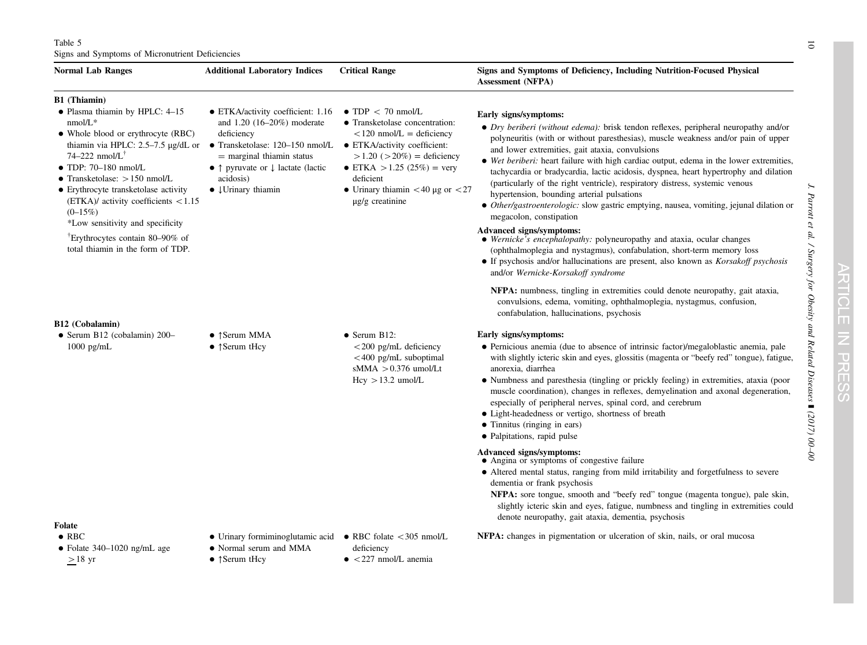### <span id="page-9-0"></span>Table 5 Signs and Symptoms of Micronutrient Deficiencies

| <b>Normal Lab Ranges</b>                                                                                                                                                                                                                                                                                                                                                         | <b>Additional Laboratory Indices</b>                                                                                                                                                                                                                                                             | <b>Critical Range</b>                                                                                                                                                                                                                                           | Signs and Symptoms of Deficiency, Including Nutrition-Focused Physical<br><b>Assessment (NFPA)</b>                                                                                                                                                                                                                                                                                                                                                                                                                                                                                                                                                                                                  |
|----------------------------------------------------------------------------------------------------------------------------------------------------------------------------------------------------------------------------------------------------------------------------------------------------------------------------------------------------------------------------------|--------------------------------------------------------------------------------------------------------------------------------------------------------------------------------------------------------------------------------------------------------------------------------------------------|-----------------------------------------------------------------------------------------------------------------------------------------------------------------------------------------------------------------------------------------------------------------|-----------------------------------------------------------------------------------------------------------------------------------------------------------------------------------------------------------------------------------------------------------------------------------------------------------------------------------------------------------------------------------------------------------------------------------------------------------------------------------------------------------------------------------------------------------------------------------------------------------------------------------------------------------------------------------------------------|
| B1 (Thiamin)<br>· Plasma thiamin by HPLC: 4-15<br>$nmol/L*$<br>• Whole blood or erythrocyte (RBC)<br>thiamin via HPLC: $2.5-7.5 \mu g/dL$ or<br>74–222 nmol/ $L^{\dagger}$<br>$\bullet$ TDP: 70-180 nmol/L<br>• Transketolase: $> 150$ nmol/L<br>• Erythrocyte transketolase activity<br>$(ETKA)$ activity coefficients < 1.15<br>$(0-15\%)$<br>*Low sensitivity and specificity | • ETKA/activity coefficient: 1.16<br>and $1.20$ (16–20%) moderate<br>deficiency<br>• Transketolase: $120-150$ nmol/L • ETKA/activity coefficient:<br>$=$ marginal thiamin status<br>• $\uparrow$ pyruvate or $\downarrow$ lactate (lactic<br>acidosis)<br>$\bullet$ $\downarrow$ Urinary thiamin | $\bullet$ TDP < 70 nmol/L<br>• Transketolase concentration:<br>$\langle 120 \text{ nmol/L} = \text{deficiency}$<br>$>1.20$ ( $>20\%$ ) = deficiency<br>• ETKA > 1.25 (25%) = very<br>deficient<br>• Urinary thiamin $<$ 40 µg or $<$ 27<br>$\mu$ g/g creatinine | Early signs/symptoms:<br>• <i>Dry beriberi (without edema)</i> : brisk tendon reflexes, peripheral neuropathy and/or<br>polyneuritis (with or without paresthesias), muscle weakness and/or pain of upper<br>and lower extremities, gait ataxia, convulsions<br>• Wet beriberi: heart failure with high cardiac output, edema in the lower extremities,<br>tachycardia or bradycardia, lactic acidosis, dyspnea, heart hypertrophy and dilation<br>(particularly of the right ventricle), respiratory distress, systemic venous<br>hypertension, bounding arterial pulsations<br>• Other/gastroenterologic: slow gastric emptying, nausea, vomiting, jejunal dilation or<br>megacolon, constipation |
| <sup>†</sup> Erythrocytes contain 80–90% of<br>total thiamin in the form of TDP.                                                                                                                                                                                                                                                                                                 |                                                                                                                                                                                                                                                                                                  |                                                                                                                                                                                                                                                                 | Advanced signs/symptoms:<br>• Wernicke's encephalopathy: polyneuropathy and ataxia, ocular changes<br>(ophthalmoplegia and nystagmus), confabulation, short-term memory loss<br>• If psychosis and/or hallucinations are present, also known as <i>Korsakoff psychosis</i><br>and/or Wernicke-Korsakoff syndrome                                                                                                                                                                                                                                                                                                                                                                                    |
| B12 (Cobalamin)                                                                                                                                                                                                                                                                                                                                                                  |                                                                                                                                                                                                                                                                                                  |                                                                                                                                                                                                                                                                 | <b>NFPA:</b> numbness, tingling in extremities could denote neuropathy, gait ataxia,<br>convulsions, edema, vomiting, ophthalmoplegia, nystagmus, confusion,<br>confabulation, hallucinations, psychosis                                                                                                                                                                                                                                                                                                                                                                                                                                                                                            |
| $\bullet$ Serum B12 (cobalamin) 200-<br>1000 pg/mL                                                                                                                                                                                                                                                                                                                               | $\bullet$ †Serum MMA<br>$\bullet$ † Serum tHcy                                                                                                                                                                                                                                                   | $\bullet$ Serum B12:<br>$<$ 200 pg/mL deficiency<br>$<$ 400 pg/mL suboptimal<br>sMMA $> 0.376$ umol/Lt<br>$Hcy > 13.2$ umol/L                                                                                                                                   | Early signs/symptoms:<br>• Pernicious anemia (due to absence of intrinsic factor)/megaloblastic anemia, pale<br>with slightly icteric skin and eyes, glossitis (magenta or "beefy red" tongue), fatigue,<br>anorexia, diarrhea<br>• Numbness and paresthesia (tingling or prickly feeling) in extremities, ataxia (poor<br>muscle coordination), changes in reflexes, demyelination and axonal degeneration,<br>especially of peripheral nerves, spinal cord, and cerebrum<br>• Light-headedness or vertigo, shortness of breath<br>• Tinnitus (ringing in ears)<br>• Palpitations, rapid pulse                                                                                                     |
| Folate                                                                                                                                                                                                                                                                                                                                                                           |                                                                                                                                                                                                                                                                                                  |                                                                                                                                                                                                                                                                 | Advanced signs/symptoms:<br>• Angina or symptoms of congestive failure<br>• Altered mental status, ranging from mild irritability and forgetfulness to severe<br>dementia or frank psychosis<br><b>NFPA:</b> sore tongue, smooth and "beefy red" tongue (magenta tongue), pale skin,<br>slightly icteric skin and eyes, fatigue, numbness and tingling in extremities could<br>denote neuropathy, gait ataxia, dementia, psychosis                                                                                                                                                                                                                                                                  |
| $\bullet$ RBC<br>$\bullet$ Folate 340-1020 ng/mL age<br>$>18$ yr                                                                                                                                                                                                                                                                                                                 | • Urinary formiminoglutamic acid • RBC folate $\lt$ 305 nmol/L<br>• Normal serum and MMA<br>$\bullet$ † Serum tHcy                                                                                                                                                                               | deficiency<br>$\bullet$ <227 nmol/L anemia                                                                                                                                                                                                                      | NFPA: changes in pigmentation or ulceration of skin, nails, or oral mucosa                                                                                                                                                                                                                                                                                                                                                                                                                                                                                                                                                                                                                          |

J. Parrott et al. / Surgery for Obesity and Related Diseases

] (2017) 00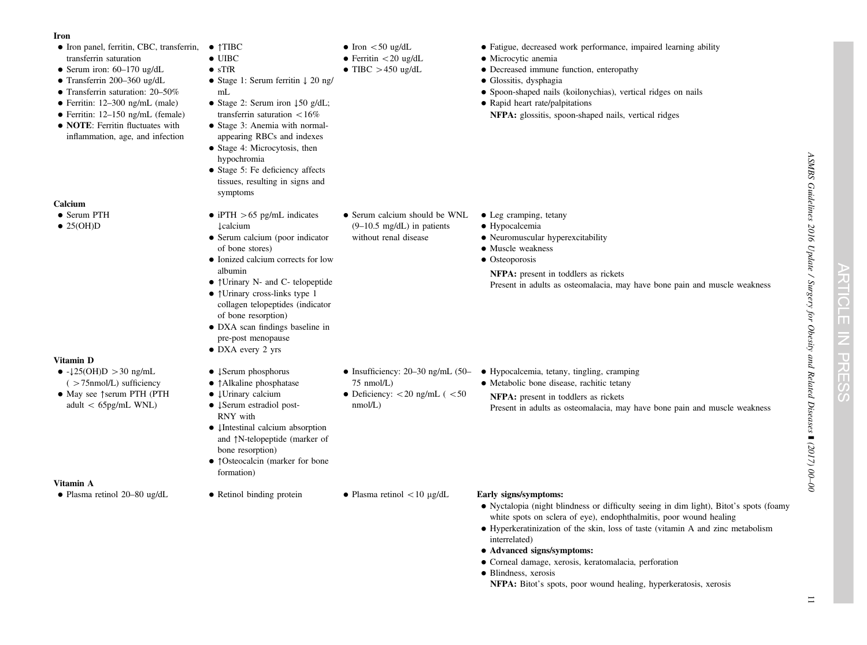### Iron

- Iron panel, ferritin, CBC, transferrin, ↑TIBC transferrin saturation
- Serum iron: 60–170 ug/dL
- Transferrin 200–360 ug/dL
- Transferrin saturation: 20–50%
- Ferritin: 12–300 ng/mL (male)
- Ferritin: 12–150 ng/mL (female)
- **NOTE**: Ferritin fluctuates with inflammation, age, and infection

### Calcium

### • Serum PTH

 $\bullet$  25(OH)D

### Vitamin D

- $\bullet$  - $\downarrow$ 25(OH)D > 30 ng/mL  $($  >75nmol/L) sufficiency
- May see ↑serum PTH (PTH adult < 65pg/mL WNL)

### Vitamin A

- - $\bullet$  UIBC • sTfR
		-
	- Stage 1: Serum ferritin ↓ 20 ng/
	- mL● Stage 2: Serum iron ↓50 g/dL;
	- transferrin saturation  $<$  16%
	- Stage 3: Anemia with normalappearing RBCs and indexes
	- Stage 4: Microcytosis, then hypochromia
	- Stage 5: Fe deficiency affects tissues, resulting in signs and symptoms
	- iPTH  $>65$  pg/mL indicates • Serum calcium (poor indicator • Serum calcium should be WNL  $(9-10.5 \text{ mg/dL})$  in patients without renal disease

 $\bullet$  Iron  $<$ 50 ug/dL • Ferritin  $<$  20 ug/dL  $\bullet$  TIBC  $>450$  ug/dL

- of bone stores) • Ionized calcium corrects for low albumin
- ↑Urinary N- and C- telopeptide
- ↑Urinary cross-links type 1 collagen telopeptides (indicator of bone resorption)
- DXA scan findings baseline in pre-post menopause
- DXA every 2 yrs

↓calcium

- ↓Serum phosphorus
- ↑Alkaline phosphatase
- ↓Urinary calcium
- ↓Serum estradiol post-RNY with
- ↓Intestinal calcium absorption and ↑N-telopeptide (marker of bone resorption)
- ↑Osteocalcin (marker for bone formation)
- Plasma retinol 20–80 ug/dL Retinol binding protein Plasma retinol < 10 µg/dL **Early signs/symptoms:**

75 nmol/L)

nmol/L)

• Deficiency:  $<$  20 ng/mL ( $<$  50

- Fatigue, decreased work performance, impaired learning ability
- Microcytic anemia
- Decreased immune function, enteropathy
- Glossitis, dysphagia
- Spoon-shaped nails (koilonychias), vertical ridges on nails
- Rapid heart rate/palpitations NFPA: glossitis, spoon-shaped nails, vertical ridges

- Leg cramping, tetany
- Hypocalcemia
- Neuromuscular hyperexcitability
- Muscle weakness
- Osteoporosis
- NFPA: presen<sup>t</sup> in toddlers as rickets Present in adults as osteomalacia, may have bone pain and muscle weakness

- $\bullet$  Insufficiency: 20–30 ng/mL (50– $\bullet$  Hypocalcemia, tetany, tingling, cramping
	- Metabolic bone disease, rachitic tetany

NFPA: presen<sup>t</sup> in toddlers as rickets Present in adults as osteomalacia, may have bone pain and muscle weakness

- Nyctalopia (night blindness or difficulty seeing in dim light), Bitot'<sup>s</sup> spots (foamy white spots on sclera of eye), endophthalmitis, poor wound healing
- Hyperkeratinization of the skin, loss of taste (vitamin A and zinc metabolism interrelated)
- Advanced signs/symptoms:
- Corneal damage, xerosis, keratomalacia, perforation
- Blindness, xerosis
	- NFPA: Bitot'<sup>s</sup> spots, poor wound healing, hyperkeratosis, xerosis

 $\bigcirc$ T

 $\overline{\mathbf{U}}$ 고 П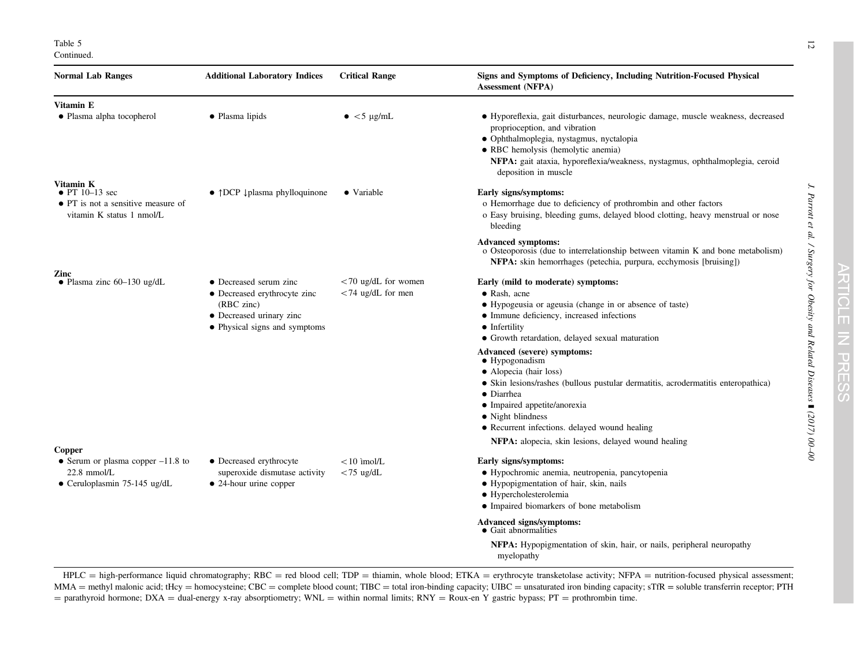Table 5 Continued.

| <b>Normal Lab Ranges</b>                                                                  | <b>Additional Laboratory Indices</b>                                                                    | <b>Critical Range</b>  | Signs and Symptoms of Deficiency, Including Nutrition-Focused Physical<br><b>Assessment (NFPA)</b>                                                                                                                                                                                                          |  |  |
|-------------------------------------------------------------------------------------------|---------------------------------------------------------------------------------------------------------|------------------------|-------------------------------------------------------------------------------------------------------------------------------------------------------------------------------------------------------------------------------------------------------------------------------------------------------------|--|--|
| Vitamin E                                                                                 |                                                                                                         |                        |                                                                                                                                                                                                                                                                                                             |  |  |
| • Plasma alpha tocopherol                                                                 | • Plasma lipids                                                                                         | $\bullet$ <5 µg/mL     | • Hyporeflexia, gait disturbances, neurologic damage, muscle weakness, decreased<br>proprioception, and vibration<br>· Ophthalmoplegia, nystagmus, nyctalopia<br>• RBC hemolysis (hemolytic anemia)<br>NFPA: gait ataxia, hyporeflexia/weakness, nystagmus, ophthalmoplegia, ceroid<br>deposition in muscle |  |  |
| Vitamin K                                                                                 |                                                                                                         |                        |                                                                                                                                                                                                                                                                                                             |  |  |
| $\bullet$ PT 10–13 sec<br>• PT is not a sensitive measure of<br>vitamin K status 1 nmol/L | $\bullet$ $\uparrow$ DCP $\downarrow$ plasma phylloquinone<br>• Variable                                |                        | Early signs/symptoms:<br>o Hemorrhage due to deficiency of prothrombin and other factors<br>o Easy bruising, bleeding gums, delayed blood clotting, heavy menstrual or nose<br>bleeding                                                                                                                     |  |  |
|                                                                                           |                                                                                                         |                        | <b>Advanced symptoms:</b><br>o Osteoporosis (due to interrelationship between vitamin K and bone metabolism)<br>NFPA: skin hemorrhages (petechia, purpura, ecchymosis [bruising])                                                                                                                           |  |  |
| Zinc<br>• Plasma zinc $60-130$ ug/dL                                                      | • Decreased serum zinc                                                                                  | $<$ 70 ug/dL for women | Early (mild to moderate) symptoms:                                                                                                                                                                                                                                                                          |  |  |
|                                                                                           | • Decreased erythrocyte zinc<br>(RBC zinc)<br>• Decreased urinary zinc<br>• Physical signs and symptoms | $<$ 74 ug/dL for men   | $\bullet$ Rash, acne<br>• Hypogeusia or ageusia (change in or absence of taste)<br>• Immune deficiency, increased infections<br>• Infertility<br>• Growth retardation, delayed sexual maturation                                                                                                            |  |  |
|                                                                                           |                                                                                                         |                        | Advanced (severe) symptoms:<br>$\bullet$ Hypogonadism                                                                                                                                                                                                                                                       |  |  |
|                                                                                           |                                                                                                         |                        | • Alopecia (hair loss)                                                                                                                                                                                                                                                                                      |  |  |
|                                                                                           |                                                                                                         |                        | • Skin lesions/rashes (bullous pustular dermatitis, acrodermatitis enteropathica)                                                                                                                                                                                                                           |  |  |
|                                                                                           |                                                                                                         |                        | $\bullet$ Diarrhea<br>• Impaired appetite/anorexia                                                                                                                                                                                                                                                          |  |  |
|                                                                                           |                                                                                                         |                        | • Night blindness                                                                                                                                                                                                                                                                                           |  |  |
|                                                                                           |                                                                                                         |                        | • Recurrent infections. delayed wound healing                                                                                                                                                                                                                                                               |  |  |
|                                                                                           |                                                                                                         |                        | NFPA: alopecia, skin lesions, delayed wound healing                                                                                                                                                                                                                                                         |  |  |
| Copper<br>• Serum or plasma copper $-11.8$ to                                             | • Decreased erythrocyte                                                                                 | $< 10$ imol/L          | Early signs/symptoms:                                                                                                                                                                                                                                                                                       |  |  |
| $22.8$ mmol/L                                                                             | superoxide dismutase activity                                                                           | $<$ 75 ug/dL           | · Hypochromic anemia, neutropenia, pancytopenia                                                                                                                                                                                                                                                             |  |  |
| • Ceruloplasmin 75-145 ug/dL                                                              | • 24-hour urine copper                                                                                  |                        | • Hypopigmentation of hair, skin, nails                                                                                                                                                                                                                                                                     |  |  |
|                                                                                           |                                                                                                         |                        | • Hypercholesterolemia<br>• Impaired biomarkers of bone metabolism                                                                                                                                                                                                                                          |  |  |
|                                                                                           |                                                                                                         |                        | Advanced signs/symptoms:<br>• Gait abnormalities                                                                                                                                                                                                                                                            |  |  |
|                                                                                           |                                                                                                         |                        | NFPA: Hypopigmentation of skin, hair, or nails, peripheral neuropathy<br>myelopathy                                                                                                                                                                                                                         |  |  |

HPLC = high-performance liquid chromatography; RBC = red blood cell; TDP = thiamin, whole blood; ETKA = erythrocyte transketolase activity; NFPA = nutrition-focused physical assessment; MMA = methyl malonic acid; tHcy = homocysteine; CBC = complete blood count; TIBC = total iron-binding capacity; UIBC = unsaturated iron binding capacity; sTfR = soluble transferrin receptor; PTH = parathyroid hormone; DXA = dual-energy x-ray absorptiometry; WNL = within normal limits; RNY = Roux-en Y gastric bypass; PT = prothrombin time.

J. Parrott et al. / Surgery for Obesity and Related Diseases

 $\overline{\phantom{a}}$ 

] (2017) 00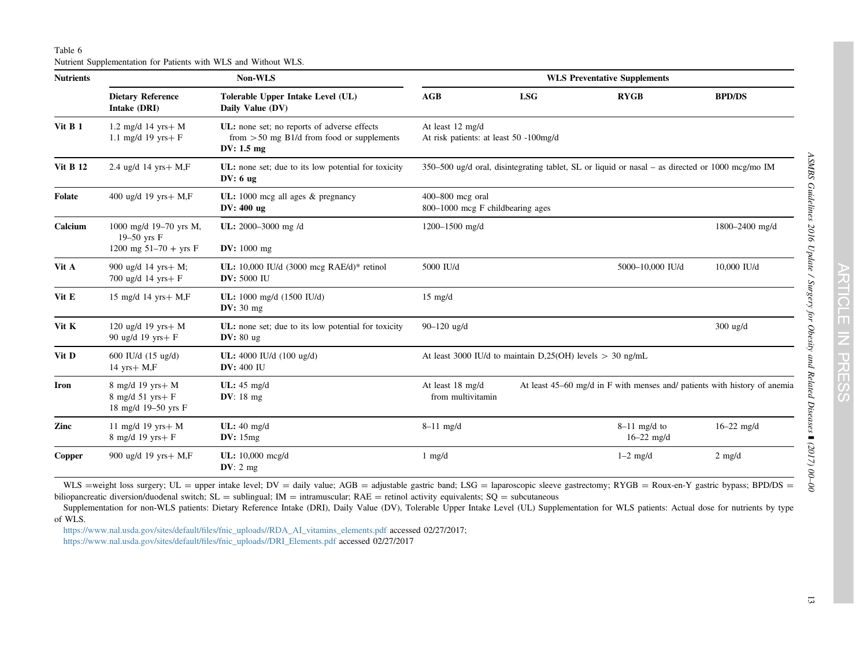<span id="page-12-0"></span>Table 6 Nutrient Supplementation for Patients with WLS and Without WLS.

| <b>Nutrients</b> | Non-WLS                                                              |                                                                                                                     | <b>WLS Preventative Supplements</b>                                                                                |            |                                  |                  |
|------------------|----------------------------------------------------------------------|---------------------------------------------------------------------------------------------------------------------|--------------------------------------------------------------------------------------------------------------------|------------|----------------------------------|------------------|
|                  | <b>Dietary Reference</b><br>Intake (DRI)                             | Tolerable Upper Intake Level (UL)<br>Daily Value (DV)                                                               | AGB                                                                                                                | <b>LSG</b> | <b>RYGB</b>                      | <b>BPD/DS</b>    |
| Vit B 1          | 1.2 mg/d 14 yrs + $M$<br>1.1 mg/d 19 yrs + $F$                       | UL: none set; no reports of adverse effects<br>from $> 50$ mg B1/d from food or supplements<br>DV: $1.5 \text{ mg}$ | At least 12 mg/d<br>At risk patients: at least 50 -100mg/d                                                         |            |                                  |                  |
| <b>Vit B 12</b>  | 2.4 ug/d 14 yrs $+$ M,F                                              | UL: none set; due to its low potential for toxicity<br>$DV: 6$ ug                                                   | 350–500 ug/d oral, disintegrating tablet, SL or liquid or nasal – as directed or 1000 mcg/mo IM                    |            |                                  |                  |
| <b>Folate</b>    | 400 ug/d 19 yrs+ M,F                                                 | UL: $1000 \text{ meg all ages}$ & pregnancy<br>DV: 400 ug                                                           | 400-800 mcg oral<br>800-1000 mcg F childbearing ages                                                               |            |                                  |                  |
| Calcium          | 1000 mg/d 19-70 yrs M,<br>$19-50$ yrs $F$<br>1200 mg $51-70 + yrs$ F | UL: 2000-3000 mg /d<br><b>DV:</b> $1000 \text{ mg}$                                                                 | 1200-1500 mg/d                                                                                                     |            |                                  | 1800-2400 mg/d   |
| Vit A            | 900 ug/d 14 yrs+ M;<br>700 ug/d 14 yrs+ F                            | UL: 10,000 IU/d (3000 mcg RAE/d)* retinol<br><b>DV: 5000 IU</b>                                                     | 5000 IU/d<br>5000-10,000 IU/d                                                                                      |            | 10,000 IU/d                      |                  |
| Vit E            | 15 mg/d 14 yrs + $M$ , $F$                                           | UL: 1000 mg/d (1500 IU/d)<br>DV: $30 \text{ mg}$                                                                    | $15 \text{ mg/d}$                                                                                                  |            |                                  |                  |
| Vit K            | 120 ug/d 19 yrs+ $M$<br>90 ug/d 19 yrs+ F                            | UL: none set; due to its low potential for toxicity<br>DV: $80 \text{ ug}$                                          | 90-120 ug/d                                                                                                        |            | 300 ug/d                         |                  |
| Vit D            | 600 IU/d (15 ug/d)<br>14 yrs $+$ M,F                                 | UL: 4000 IU/d (100 ug/d)<br><b>DV:</b> 400 IU                                                                       | At least 3000 IU/d to maintain D,25(OH) levels $> 30$ ng/mL                                                        |            |                                  |                  |
| Iron             | 8 mg/d 19 yrs+ M<br>$8$ mg/d $51$ yrs+ $F$<br>18 mg/d 19-50 yrs F    | UL: $45 \text{ mg/d}$<br>DV: $18 \text{ mg}$                                                                        | At least 18 mg/d<br>At least 45–60 mg/d in F with menses and/ patients with history of anemia<br>from multivitamin |            |                                  |                  |
| Zinc             | 11 mg/d 19 yrs $+ M$<br>8 mg/d 19 yrs+ F                             | UL: $40 \text{ mg/d}$<br>DV: $15mg$                                                                                 | $8-11$ mg/d                                                                                                        |            | $8-11$ mg/d to<br>$16 - 22$ mg/d | $16 - 22$ mg/d   |
| Copper           | 900 ug/d 19 yrs+ M,F                                                 | UL: 10,000 mcg/d<br>DV: 2 mg                                                                                        | $1 \text{ mg/d}$                                                                                                   |            | $1-2$ mg/d                       | $2 \text{ mg/d}$ |

WLS =weight loss surgery; UL = upper intake level; DV = daily value; AGB = adjustable gastric band; LSG = laparoscopic sleeve gastrectomy; RYGB = Roux-en-Y gastric bypass; BPD/DS = biliopancreatic diversion/duodenal switch;  $SL =$  sublingual;  $IM =$  intramuscular;  $RAE =$  retinol activity equivalents;  $SQ =$  subcutaneous

Supplementation for non-WLS patients: Dietary Reference Intake (DRI), Daily Value (DV), Tolerable Upper Intake Level (UL) Supplementation for WLS patients: Actual dose for nutrients by type of WLS.

https://www.nal.usda.gov/sites/default/fi[les/fnic\\_uploads//RDA\\_AI\\_vitamins\\_elements.pdf](http://https://www.nal.usda.gov/sites/default/files/fnic_uploads//RDA_AI_vitamins_elements.pdf) accessed 02/27/2017;

[https://www.nal.usda.gov/sites/default/](http://https://www.nal.usda.gov/sites/default/files/fnic_uploads//DRI_Elements.pdf)files/fnic\_uploads//DRI\_Elements.pdf accessed 02/27/2017

ASMBS Guidelines 2016 Update / Surgery for Obesity and Related Diseases

] (2017) 00 –00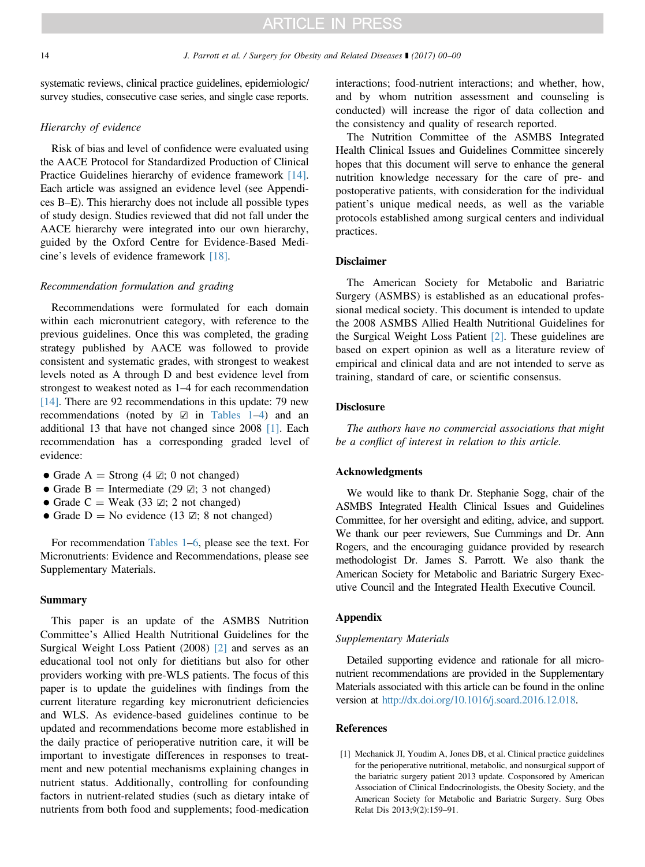<span id="page-13-0"></span>systematic reviews, clinical practice guidelines, epidemiologic/ survey studies, consecutive case series, and single case reports.

### Hierarchy of evidence

Risk of bias and level of confidence were evaluated using the AACE Protocol for Standardized Production of Clinical Practice Guidelines hierarchy of evidence framework [\[14\]](#page-14-0). Each article was assigned an evidence level (see Appendices B–E). This hierarchy does not include all possible types of study design. Studies reviewed that did not fall under the AACE hierarchy were integrated into our own hierarchy, guided by the Oxford Centre for Evidence-Based Medicine's levels of evidence framework [\[18\]](#page-14-0).

### Recommendation formulation and grading

Recommendations were formulated for each domain within each micronutrient category, with reference to the previous guidelines. Once this was completed, the grading strategy published by AACE was followed to provide consistent and systematic grades, with strongest to weakest levels noted as A through D and best evidence level from strongest to weakest noted as 1–4 for each recommendation [\[14\]](#page-14-0). There are 92 recommendations in this update: 79 new recommendations (noted by  $\boxtimes$  in [Tables 1](#page-1-0)–[4](#page-7-0)) and an additional 13 that have not changed since 2008 [1]. Each recommendation has a corresponding graded level of evidence:

- Grade A = Strong (4  $\mathbb{Z}$ ; 0 not changed)
- Grade B = Intermediate (29  $\boxtimes$ ; 3 not changed)
- Grade C = Weak (33  $\boxtimes$ ; 2 not changed)
- Grade D = No evidence (13  $\mathbb{Z}$ ; 8 not changed)

For recommendation [Tables 1](#page-1-0)–[6](#page-12-0), please see the text. For Micronutrients: Evidence and Recommendations, please see Supplementary Materials.

### Summary

This paper is an update of the ASMBS Nutrition Committee's Allied Health Nutritional Guidelines for the Surgical Weight Loss Patient (2008) [\[2\]](#page-14-0) and serves as an educational tool not only for dietitians but also for other providers working with pre-WLS patients. The focus of this paper is to update the guidelines with findings from the current literature regarding key micronutrient deficiencies and WLS. As evidence-based guidelines continue to be updated and recommendations become more established in the daily practice of perioperative nutrition care, it will be important to investigate differences in responses to treatment and new potential mechanisms explaining changes in nutrient status. Additionally, controlling for confounding factors in nutrient-related studies (such as dietary intake of nutrients from both food and supplements; food-medication

interactions; food-nutrient interactions; and whether, how, and by whom nutrition assessment and counseling is conducted) will increase the rigor of data collection and the consistency and quality of research reported.

The Nutrition Committee of the ASMBS Integrated Health Clinical Issues and Guidelines Committee sincerely hopes that this document will serve to enhance the general nutrition knowledge necessary for the care of pre- and postoperative patients, with consideration for the individual patient's unique medical needs, as well as the variable protocols established among surgical centers and individual practices.

### Disclaimer

The American Society for Metabolic and Bariatric Surgery (ASMBS) is established as an educational professional medical society. This document is intended to update the 2008 ASMBS Allied Health Nutritional Guidelines for the Surgical Weight Loss Patient [\[2\]](#page-14-0). These guidelines are based on expert opinion as well as a literature review of empirical and clinical data and are not intended to serve as training, standard of care, or scientific consensus.

### **Disclosure**

The authors have no commercial associations that might be a conflict of interest in relation to this article.

### Acknowledgments

We would like to thank Dr. Stephanie Sogg, chair of the ASMBS Integrated Health Clinical Issues and Guidelines Committee, for her oversight and editing, advice, and support. We thank our peer reviewers, Sue Cummings and Dr. Ann Rogers, and the encouraging guidance provided by research methodologist Dr. James S. Parrott. We also thank the American Society for Metabolic and Bariatric Surgery Executive Council and the Integrated Health Executive Council.

### Appendix

### Supplementary Materials

Detailed supporting evidence and rationale for all micronutrient recommendations are provided in the Supplementary Materials associated with this article can be found in the online version at <http://dx.doi.org/10.1016/j.soard.2016.12.018>.

### References

[1] Mechanick JI, Youdim A, Jones DB, et al. Clinical practice guidelines for the perioperative nutritional, metabolic, and nonsurgical support of the bariatric surgery patient 2013 update. Cosponsored by American Association of Clinical Endocrinologists, the Obesity Society, and the American Society for Metabolic and Bariatric Surgery. Surg Obes Relat Dis 2013;9(2):159–91.